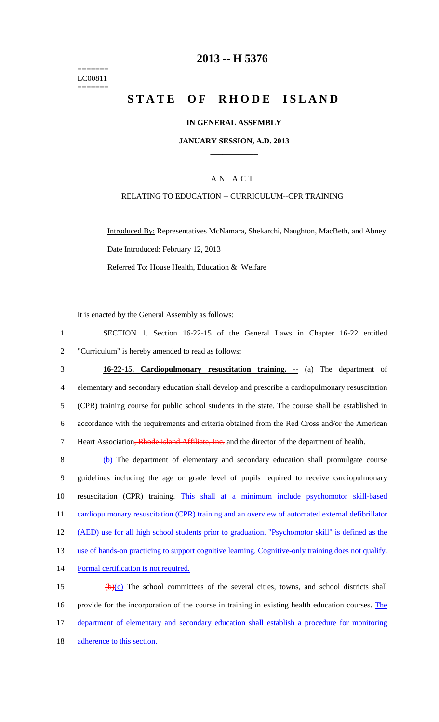======= LC00811 =======

# **2013 -- H 5376**

# **STATE OF RHODE ISLAND**

## **IN GENERAL ASSEMBLY**

#### **JANUARY SESSION, A.D. 2013 \_\_\_\_\_\_\_\_\_\_\_\_**

## A N A C T

## RELATING TO EDUCATION -- CURRICULUM--CPR TRAINING

Introduced By: Representatives McNamara, Shekarchi, Naughton, MacBeth, and Abney Date Introduced: February 12, 2013 Referred To: House Health, Education & Welfare

It is enacted by the General Assembly as follows:

1 SECTION 1. Section 16-22-15 of the General Laws in Chapter 16-22 entitled 2 "Curriculum" is hereby amended to read as follows:

3 **16-22-15. Cardiopulmonary resuscitation training. --** (a) The department of 4 elementary and secondary education shall develop and prescribe a cardiopulmonary resuscitation 5 (CPR) training course for public school students in the state. The course shall be established in 6 accordance with the requirements and criteria obtained from the Red Cross and/or the American 7 Heart Association, Rhode Island Affiliate, Inc. and the director of the department of health.

8 (b) The department of elementary and secondary education shall promulgate course 9 guidelines including the age or grade level of pupils required to receive cardiopulmonary 10 resuscitation (CPR) training. This shall at a minimum include psychomotor skill-based 11 cardiopulmonary resuscitation (CPR) training and an overview of automated external defibrillator 12 (AED) use for all high school students prior to graduation. "Psychomotor skill" is defined as the 13 use of hands-on practicing to support cognitive learning. Cognitive-only training does not qualify. 14 Formal certification is not required. 15  $(b)(c)$  The school committees of the several cities, towns, and school districts shall 16 provide for the incorporation of the course in training in existing health education courses. The

17 department of elementary and secondary education shall establish a procedure for monitoring

18 adherence to this section.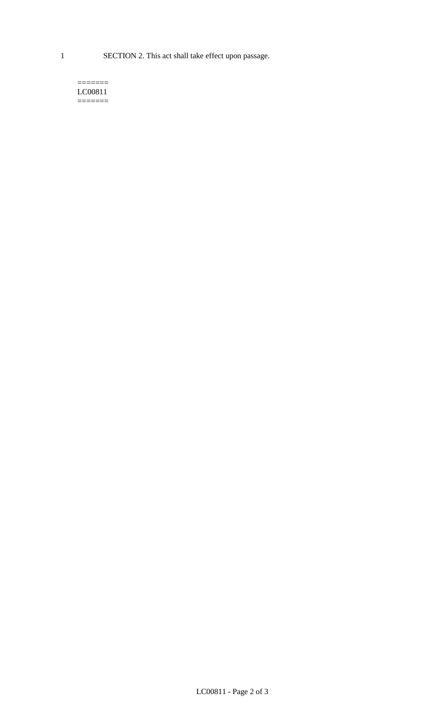1 SECTION 2. This act shall take effect upon passage.

#### $=$ LC00811 =======